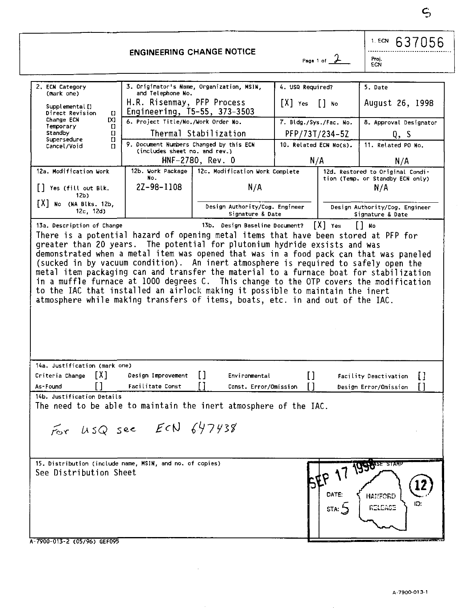**63705 6**  1. ECN

**ENGINEERING CHANGE NOTICE** 

**ECN** 

**2. ECN Category (mark one) Supplemental[] Direct Revision [] Change ECN [X]**<br>**Temporary** [1 **Standby** *a* **Standby [] Supersedure [] Cancel/Void [] 3. Originator's Name, Organization, MSIN, and Telephone No.**  H.R. Risenmay, PFP Process Engineering, T5-55, 373-3503 **6. Project Title/No./Work Order No.**  Thermal Stabi1ization **Document Numbers Changed by this ECN (includes sheet no. and rev.)**  HNF-2780, Rev. 0 **4. USQ Required?**  [X] **Yes [ ] No 7. Bldg./Sys./Fac. No.**  PFP/73T/234-5Z **10. Related ECN No(s).**  N/A **5. Date**  August 26, 1998 **8. Approval Designator**  Q, S **11. Related PO No.**  N/A **12a. Modification Work [ ] Yes (fil l out Blk. 12b)**  [X] **No (NA Blks. 12b, 12c, 12d) 12b. Work Package No.**  2Z-98-1108 **12c. Modification Uork Complete**  N/A **Design Authority/Cog. Engineer Signature & Date 12d. Restored to Original Condition (Temp, or Standby ECN only)**  N/A **Design Authority/Cog. Engineer Signature & Date 13a. Description of Change 13b. Design Baseline Document?** [X] **Yes [ ] No**  greater than 20 years. The potential for plutonium hydride exsists and was greater than 20 years. The potential for plutonium hydride exsists and was demonstrated when a metal item was opened that was in a food pack can that was paneled (sucked in by vacuum condition). An inert atmosphere is required to safely open the metal item packaging can and transfer the material to a furnace boat for stabilization in a muffle furnace at 1000 degrees C. This change to the OTP covers the modification to the IAC that installed an airlock making it possible to maintain the inert atmosphere while making transfers of items, boats, etc. in and out of the IAC. **14a. Justification (mark one)** 

| 14a. Justification (mark one) |                                                                  |                       |               |                                    |              |
|-------------------------------|------------------------------------------------------------------|-----------------------|---------------|------------------------------------|--------------|
| TX1<br>Criteria Change        | Design Improvement<br>$\mathbf{1}$                               | Environmental         |               | Facility Deactivation              | $\mathbf{H}$ |
| As-Found                      | Facilitate Const                                                 | Const. Error/Omission |               | Design Error/Omission              | U            |
| 14b. Justification Details    |                                                                  |                       |               |                                    |              |
|                               | The need to be able to maintain the inert atmosphere of the IAC. |                       |               |                                    |              |
|                               | For USQ see ECN 647438                                           |                       |               |                                    |              |
| See Distribution Sheet        | 15. Distribution (include name, MSIN, and no. of copies)         |                       | DATE:<br>STA: | 1990SE STAMP<br>HANFORD<br>RELEASE | 12<br>ID:    |
| A 7900-013-2 (05/96) GEF095   |                                                                  |                       |               |                                    |              |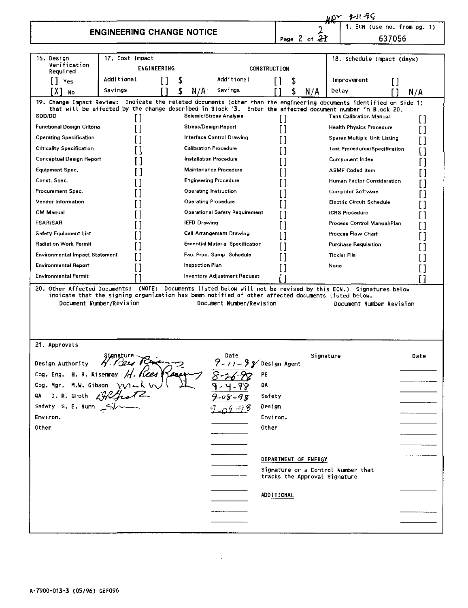|                                                                                                                                                                                                     |                                  |             |                     |                                         |                     |                                                            |                     | - 2-11-56                                                                                                                                    |                      |
|-----------------------------------------------------------------------------------------------------------------------------------------------------------------------------------------------------|----------------------------------|-------------|---------------------|-----------------------------------------|---------------------|------------------------------------------------------------|---------------------|----------------------------------------------------------------------------------------------------------------------------------------------|----------------------|
|                                                                                                                                                                                                     | <b>ENGINEERING CHANGE NOTICE</b> |             |                     |                                         |                     |                                                            |                     |                                                                                                                                              | (use no. from pg. 1) |
|                                                                                                                                                                                                     |                                  |             |                     |                                         |                     | Page 2 of 21                                               |                     | 637056                                                                                                                                       |                      |
|                                                                                                                                                                                                     |                                  |             |                     |                                         |                     |                                                            |                     |                                                                                                                                              |                      |
| 16. Design<br>Verification<br>Required                                                                                                                                                              | 17. Cost Impact                  | ENGINEERING |                     |                                         | <b>CONSTRUCTION</b> |                                                            |                     | 18. Schedule Impact (days)                                                                                                                   |                      |
| $[]$ Yes                                                                                                                                                                                            | Additional                       | ſ1          | \$                  | Additional                              |                     | [ ]<br>S                                                   |                     | Improvement<br>[ ]                                                                                                                           |                      |
| IX 1<br><b>No</b>                                                                                                                                                                                   | Savings                          |             | N/A                 | Savings                                 |                     | N/A                                                        | Delay               |                                                                                                                                              | N/A                  |
| 19. Change Impact Review: Indicate the related documents (other than the engineering documents identified on Side 1)<br>SDD/DD                                                                      | Ħ                                |             |                     | Seismic/Stress Analysis                 |                     |                                                            |                     | that will be affected by the change described in Block 13. Enter the affected document number in Block 20.<br><b>Tank Calibration Manual</b> |                      |
| Functional Design Criteria                                                                                                                                                                          | ſ1                               |             |                     | <b>Stress/Design Report</b>             |                     | Ħ<br>П                                                     |                     | <b>Health Physics Procedure</b>                                                                                                              | П<br>П               |
| <b>Operating Specification</b>                                                                                                                                                                      |                                  |             |                     | Interface Control Drawing               |                     |                                                            |                     | <b>Spares Multiple Unit Listing</b>                                                                                                          | П                    |
| <b>Criticality Specification</b>                                                                                                                                                                    |                                  |             |                     | <b>Calibration Procedure</b>            |                     |                                                            |                     | <b>Test Procedures/Specification</b>                                                                                                         | Γ٦                   |
| Conceptual Design Report                                                                                                                                                                            |                                  |             |                     | Installation Procedure                  |                     |                                                            |                     | Component Index                                                                                                                              | r 1                  |
| Equipment Spec.                                                                                                                                                                                     |                                  |             |                     | Maintenance Procedure                   |                     |                                                            |                     | <b>ASME Coded Item</b>                                                                                                                       | П                    |
| Const. Spec.                                                                                                                                                                                        |                                  |             |                     | <b>Engineering Procedure</b>            |                     |                                                            |                     | Human Factor Consideration                                                                                                                   | ГΙ                   |
| Procurement Spec.                                                                                                                                                                                   |                                  |             |                     | <b>Operating Instruction</b>            |                     |                                                            |                     | <b>Computer Software</b>                                                                                                                     | r۱                   |
| <b>Vendor Information</b>                                                                                                                                                                           |                                  |             |                     | <b>Operating Procedure</b>              |                     |                                                            |                     | Electric Circuit Schedule                                                                                                                    | l l                  |
| OM Manual                                                                                                                                                                                           |                                  |             |                     | <b>Operational Safety Requirement</b>   |                     |                                                            |                     | <b>ICRS</b> Procedure                                                                                                                        |                      |
| <b>FSAR/SAR</b>                                                                                                                                                                                     |                                  |             | <b>IEFD Drawing</b> |                                         |                     |                                                            |                     | Process Control Manual/Plan                                                                                                                  |                      |
| <b>Safety Equipment List</b>                                                                                                                                                                        |                                  |             |                     | <b>Cell Arrangement Drawing</b>         |                     |                                                            |                     | Process Flow Chart                                                                                                                           |                      |
| <b>Radiation Work Permit</b>                                                                                                                                                                        |                                  |             |                     | <b>Essential Material Specification</b> |                     |                                                            |                     | <b>Purchase Requisition</b>                                                                                                                  |                      |
| Environmental Impact Statement                                                                                                                                                                      |                                  |             |                     | Fac. Proc. Samp. Schedule               |                     |                                                            | <b>Tickler File</b> |                                                                                                                                              |                      |
| <b>Environmental Report</b>                                                                                                                                                                         | П                                |             | Inspection Plan     |                                         |                     |                                                            | None                |                                                                                                                                              |                      |
| <b>Environmental Permit</b>                                                                                                                                                                         |                                  |             |                     | <b>Inventory Adjustment Request</b>     |                     |                                                            |                     |                                                                                                                                              |                      |
| 20. Other Affected Documents; (NOTE; Documents listed below will not be revised by this ECN.)<br>indicate that the signing organization has been notified of other affected documents listed below. | Document Number/Revision         |             |                     | Document Number/Revision                |                     |                                                            |                     | Signatures below<br>Document Number Revision                                                                                                 |                      |
| 21. Approvals                                                                                                                                                                                       |                                  |             |                     |                                         |                     |                                                            |                     |                                                                                                                                              |                      |
| Design Authority                                                                                                                                                                                    | ' Kees K                         |             |                     |                                         |                     | P Design Agent                                             | Signature           |                                                                                                                                              | Date                 |
| Cog. Eng. H. R. Risenmay                                                                                                                                                                            | H. Kees                          |             |                     |                                         | PE                  |                                                            |                     |                                                                                                                                              |                      |
| Cog. Mgr.<br>M.W. Gibson                                                                                                                                                                            |                                  |             |                     |                                         | QA                  |                                                            |                     |                                                                                                                                              |                      |
| QA<br>D. R. Groth                                                                                                                                                                                   |                                  |             |                     |                                         | Safety              |                                                            |                     |                                                                                                                                              |                      |
| Safety S. E. Nunn                                                                                                                                                                                   |                                  |             |                     |                                         | Design              |                                                            |                     |                                                                                                                                              |                      |
| Environ.                                                                                                                                                                                            |                                  |             |                     |                                         | Environ.            |                                                            |                     |                                                                                                                                              |                      |
| Other                                                                                                                                                                                               |                                  |             |                     |                                         | Other               |                                                            |                     |                                                                                                                                              |                      |
|                                                                                                                                                                                                     |                                  |             |                     |                                         |                     |                                                            |                     |                                                                                                                                              |                      |
|                                                                                                                                                                                                     |                                  |             |                     |                                         |                     |                                                            |                     |                                                                                                                                              |                      |
|                                                                                                                                                                                                     |                                  |             |                     |                                         |                     | DEPARTMENT OF ENERGY<br>Signature or a Control Number that |                     |                                                                                                                                              |                      |
|                                                                                                                                                                                                     |                                  |             |                     |                                         |                     | tracks the Approval Signature                              |                     |                                                                                                                                              |                      |
|                                                                                                                                                                                                     |                                  |             |                     |                                         |                     | <b>ADDITIONAL</b>                                          |                     |                                                                                                                                              |                      |
|                                                                                                                                                                                                     |                                  |             |                     |                                         |                     |                                                            |                     |                                                                                                                                              |                      |
|                                                                                                                                                                                                     |                                  |             |                     |                                         |                     |                                                            |                     |                                                                                                                                              |                      |
|                                                                                                                                                                                                     |                                  |             |                     |                                         |                     |                                                            |                     |                                                                                                                                              |                      |

 $\sim 10^7$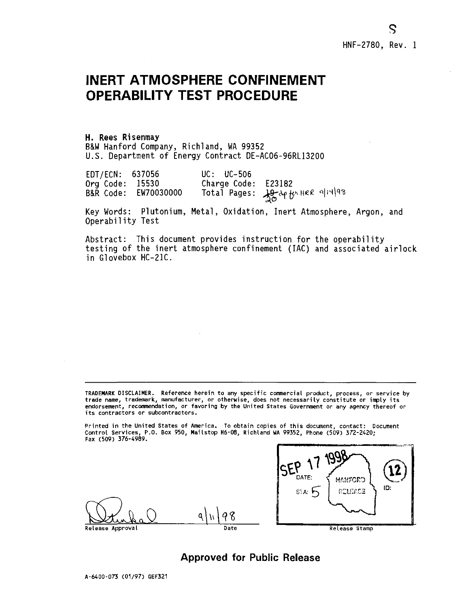# **INERT ATMOSPHERE CONFINEMENT OPERABILITY TEST PROCEDURE**

**H. Rees Risenmay**  B&W Hanford Company, Richland, WA 99352 U.S. Department of Energy Contract DE-AC06-96RL13200

EDT/ECN: 637056 UC: UC-506 Org Code: 15530 Charge Code: E23182<br>B&R Code: EW70030000 Total Pages: 19-20+ Botal Pages:  $\frac{19}{100}$ dp thee ali4/98

Key Words: Plutonium, Metal, Oxidation, Inert Atmosphere, Argon, and Operability Test

Abstract: This document provides instruction for the operability testing of the inert atmosphere confinement (IAC) and associated airlock in Glovebox HC-21C.

**TRADEMARK DISCLAIMER. Reference herein to any specific commercial product, process, or service by**  trade name, trademark, manufacturer, or otherwise, does not necessarily constitute or imply its<br>endorsement, recommendation, or favoring by the United States Government or any agency thereof or<br>its contractors or subcontra

**Printed in the United States of America. To obtain copies of this document, contact: Document Control Services, P.O. Box 950, Mailstop H6-08, Richland UA 99352, Phone (509) 372-2420; Fax (509) 376-4989.** 



**Approved for Public Release** 

8

Q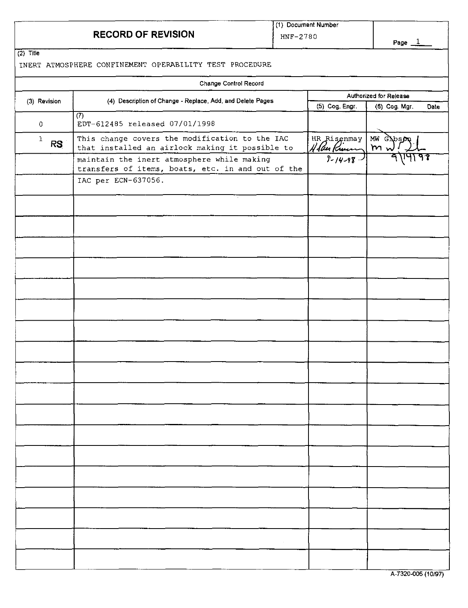## **RECORD OF REVISION**

**(1) Document Number HNF-278 0** 

 $\overline{\phantom{0}}$ 

**(2) Title** 

## **INERT ATMOSPHERE CONFINEMENT OPERABILITY TEST PROCEDURE**

|                    | Change Control Record                                                                             |                                                |                       |  |  |
|--------------------|---------------------------------------------------------------------------------------------------|------------------------------------------------|-----------------------|--|--|
| (3) Revision       | (4) Description of Change - Replace, Add, and Delete Pages                                        | Authorized for Release                         |                       |  |  |
|                    |                                                                                                   | (5) Cog. Engr.                                 | (6) Cog. Mgr.<br>Date |  |  |
| $\hbox{O}$         | (7)<br>EDT-612485 released 07/01/1998                                                             |                                                |                       |  |  |
| $\,1$<br><b>RS</b> | This change covers the modification to the IAC<br>that installed an airlock making it possible to | $\frac{HRR1$ senmay<br>$\frac{1}{10}$ function | MW CAbson<br>$m_{n}$  |  |  |
|                    | maintain the inert atmosphere while making<br>transfers of items, boats, etc. in and out of the   |                                                |                       |  |  |
|                    | IAC per ECN-637056.                                                                               |                                                |                       |  |  |
|                    |                                                                                                   |                                                |                       |  |  |
|                    |                                                                                                   |                                                |                       |  |  |
|                    |                                                                                                   |                                                |                       |  |  |
|                    |                                                                                                   |                                                |                       |  |  |
|                    |                                                                                                   |                                                |                       |  |  |
|                    |                                                                                                   |                                                |                       |  |  |
|                    |                                                                                                   |                                                |                       |  |  |
|                    |                                                                                                   |                                                |                       |  |  |
|                    |                                                                                                   |                                                |                       |  |  |
|                    |                                                                                                   |                                                |                       |  |  |
|                    |                                                                                                   |                                                |                       |  |  |
|                    |                                                                                                   |                                                |                       |  |  |
|                    |                                                                                                   |                                                |                       |  |  |
|                    |                                                                                                   |                                                |                       |  |  |
|                    |                                                                                                   |                                                |                       |  |  |
|                    |                                                                                                   |                                                |                       |  |  |
|                    |                                                                                                   |                                                |                       |  |  |
|                    |                                                                                                   |                                                |                       |  |  |
|                    |                                                                                                   |                                                | $A$ 7230 DOE (40.07)  |  |  |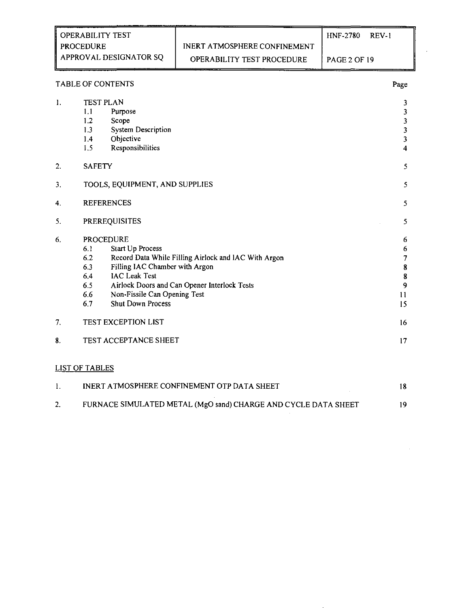|    | <b>OPERABILITY TEST</b>                                                                                                                                                                                     |                                                                                                      | <b>HNF-2780</b>     | <b>REV-1</b>                                 |
|----|-------------------------------------------------------------------------------------------------------------------------------------------------------------------------------------------------------------|------------------------------------------------------------------------------------------------------|---------------------|----------------------------------------------|
|    | <b>PROCEDURE</b>                                                                                                                                                                                            | <b>INERT ATMOSPHERE CONFINEMENT</b>                                                                  |                     |                                              |
|    | APPROVAL DESIGNATOR SQ                                                                                                                                                                                      | OPERABILITY TEST PROCEDURE                                                                           | <b>PAGE 2 OF 19</b> |                                              |
|    | <b>TABLE OF CONTENTS</b>                                                                                                                                                                                    |                                                                                                      |                     | Page                                         |
| 1. | <b>TEST PLAN</b><br>Purpose<br>1.1<br>1.2<br>Scope<br><b>System Description</b><br>1.3<br>Objective<br>1.4<br>Responsibilities<br>1.5                                                                       |                                                                                                      |                     | 3<br>3<br>3<br>3<br>3<br>$\overline{\bf{4}}$ |
| 2. | <b>SAFETY</b>                                                                                                                                                                                               |                                                                                                      |                     | 5                                            |
| 3. | TOOLS, EQUIPMENT, AND SUPPLIES                                                                                                                                                                              |                                                                                                      |                     | 5                                            |
| 4. | <b>REFERENCES</b>                                                                                                                                                                                           |                                                                                                      |                     | 5                                            |
| 5. | <b>PREREQUISITES</b>                                                                                                                                                                                        |                                                                                                      |                     | 5                                            |
| 6. | <b>PROCEDURE</b><br>Start Up Process<br>6.1<br>6.2<br>Filling IAC Chamber with Argon<br>6.3<br><b>IAC Leak Test</b><br>6.4<br>6.5<br>Non-Fissile Can Opening Test<br>6.6<br><b>Shut Down Process</b><br>6.7 | Record Data While Filling Airlock and IAC With Argon<br>Airlock Doors and Can Opener Interlock Tests |                     | 6<br>6<br>7<br>8<br>8<br>9<br>11<br>15       |
| 7. | TEST EXCEPTION LIST                                                                                                                                                                                         |                                                                                                      |                     | 16                                           |
| 8. | TEST ACCEPTANCE SHEET                                                                                                                                                                                       |                                                                                                      |                     | 17                                           |
|    | <b>LIST OF TABLES</b>                                                                                                                                                                                       |                                                                                                      |                     |                                              |
| 1. |                                                                                                                                                                                                             | INERT ATMOSPHERE CONFINEMENT OTP DATA SHEET                                                          |                     | 18                                           |

2. FURNACE SIMULATED METAL (MgO sand) CHARGE AND CYCLE DATA SHEET 19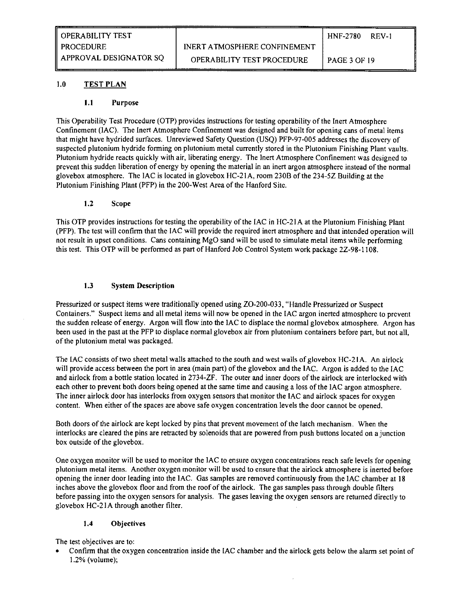## 1.0 TEST PLAN

#### 1.1 Purpose

This Operability Test Procedure (OTP) provides instructions for testing operability of the Inert Atmosphere Confinement (IAC). The Inert Atmosphere Confinement was designed and built for opening cans of metal items that might have hydrided surfaces. Unreviewed Safety Question (USQ) PFP-97-005 addresses the discovery of suspected plutonium hydride forming on plutonium metal currently stored in the Plutonium Finishing Plant vaults. Plutonium hydride reacts quickly with air, liberating energy. The Inert Atmosphere Confinement was designed to prevent this sudden liberation of energy by opening the material in an inert argon atmosphere instead of the normal glovebox atmosphere. The IAC is located in glovebox HC-21A, room 230B of the 234-5Z Building at the Plutonium Finishing Plant (PFP) in the 200-West Area of the Hanford Site.

#### 1.2 Scope

This OTP provides instructions for testing the operability of the IAC in HC-2IA at the Plutonium Finishing Plant (PFP). The test will confirm that the IAC will provide the required inert atmosphere and that intended operation will not result in upset conditions. Cans containing MgO sand will be used to simulate metal items while performing this test. This OTP will be performed as part of Hanford Job Control System work package 2Z-98-1108.

#### 1.3 System Description

Pressurized or suspect items were traditionally opened using ZO-200-033, "Handle Pressurized or Suspect Containers." Suspect items and all metal items will now be opened in the IAC argon inerted atmosphere to prevent the sudden release of energy. Argon will flow into the IAC to displace the normal glovebox atmosphere. Argon has been used in the past at the PFP to displace normal glovebox air from plutonium containers before part, but not all, of the plutonium metal was packaged.

The IAC consists of two sheet metal walls attached to the south and west walls of glovebox HC-21A. An airlock will provide access between the port in area (main part) of the glovebox and the IAC. Argon is added to the IAC and airlock from a bottle station located in 2734-ZF. The outer and inner doors of the airlock are interlocked with each other to prevent both doors being opened at the same time and causing a loss of the IAC argon atmosphere. The inner airlock door has interlocks from oxygen sensors that monitor the IAC and airlock spaces for oxygen content. When either of the spaces are above safe oxygen concentration levels the door cannot be opened.

Both doors of the airlock are kept locked by pins that prevent movement of the latch mechanism. When the interlocks are cleared the pins are retracted by solenoids that are powered from push buttons located on a junction box outside of the glovebox.

One oxygen monitor will be used to monitor the IAC to ensure oxygen concentrations reach safe levels for opening plutonium metal items. Another oxygen monitor will be used to ensure that the airlock atmosphere is inerted before opening the inner door leading into the IAC. Gas samples are removed continuously from the IAC chamber at 18 inches above the glovebox floor and from the roof of the airlock. The gas samples pass through double filters before passing into the oxygen sensors for analysis. The gases leaving the oxygen sensors are returned directly to glovebox HC-21A through another filter.

## 1.4 Objectives

The test objectives are to:

• Confirm that the oxygen concentration inside the IAC chamber and the airlock gets below the alarm set point of 1.2% (volume);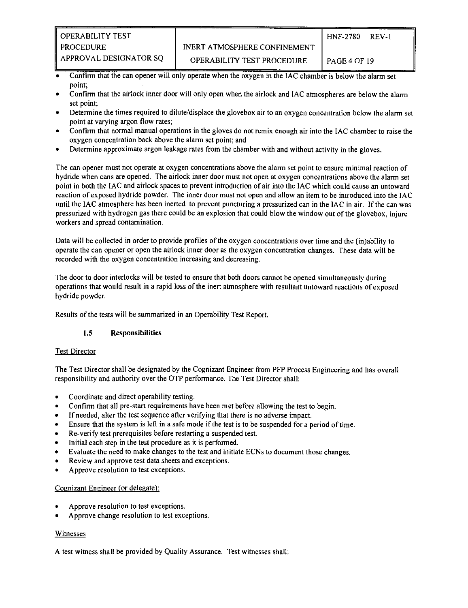- Confirm that the can opener will only operate when the oxygen in the IAC chamber is below the alarm set point;
- Confirm that the airlock inner door will only open when the airlock and IAC atmospheres are below the alarm set point;
- Determine the times required to dilute/displace the glovebox air to an oxygen concentration below the alarm set point at varying argon flow rates;
- Confirm that normal manual operations in the gloves do not remix enough air into the IAC chamber to raise the oxygen concentration back above the alarm set point; and
- Determine approximate argon leakage rates from the chamber with and without activity in the gloves.

The can opener must not operate at oxygen concentrations above the alarm set point to ensure minimal reaction of hydride when cans are opened. The airlock inner door must not open at oxygen concentrations above the alarm set point in both the IAC and airlock spaces to prevent introduction of air into the IAC which could cause an untoward reaction of exposed hydride powder. The inner door must not open and allow an item to be introduced into the IAC until the IAC atmosphere has been inerted to prevent puncturing a pressurized can in the IAC in air. If the can was pressurized with hydrogen gas there could be an explosion that could blow the window out of the glovebox, injure workers and spread contamination.

Data will be collected in order to provide profiles of the oxygen concentrations over time and the (in)ability to operate the can opener or open the airlock inner door as the oxygen concentration changes. These data will be recorded with the oxygen concentration increasing and decreasing.

The door to door interlocks will be tested to ensure that both doors cannot be opened simultaneously during operations that would result in a rapid loss of the inert atmosphere with resultant untoward reactions of exposed hydride powder.

Results of the tests will be summarized in an Operability Test Report.

## **1.5** Responsibilities

#### Test Director

The Test Director shall be designated by the Cognizant Engineer from PFP Process Engineering and has overall responsibility and authority over the OTP performance. The Test Director shall:

- Coordinate and direct operability testing.
- Confirm that all pre-start requirements have been met before allowing the test to begin.
- If needed, alter the test sequence after verifying that there is no adverse impact.
- Ensure that the system is left in a safe mode if the test is to be suspended for a period of time.
- Re-verify test prerequisites before restarting a suspended test.
- Initial each step in the test procedure as it is performed.
- Evaluate the need to make changes to the test and initiate ECNs to document those changes.
- Review and approve test data sheets and exceptions.
- Approve resolution to test exceptions.

#### Cognizant Engineer (or delegate):

- Approve resolution to test exceptions.
- Approve change resolution to test exceptions.

#### Witnesses

A test witness shall be provided by Quality Assurance. Test witnesses shall: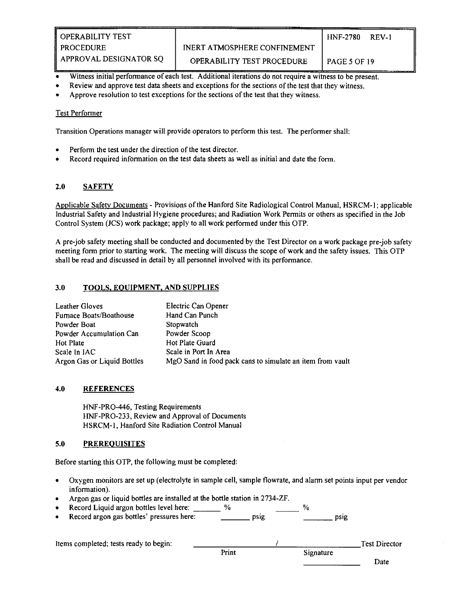- Witness initial performance of each test. Additional iterations do not require a witness to be present.
- Review and approve test data sheets and exceptions for the sections of the test that they witness.
- Approve resolution to test exceptions for the sections of the test that they witness.

#### Test Performer

Transition Operations manager will provide operators to perform this test. The performer shall:

- Perform the test under the direction of the test director.
- Record required information on the test data sheets as well as initial and date the form.

## 2.0 SAFETY

Applicable Safety Documents - Provisions of the Hanford Site Radiological Control Manual, HSRCM-1; applicable Industrial Safety and Industrial Hygiene procedures; and Radiation Work Permits or others as specified in the Job Control System (JCS) work package; apply to all work performed under this OTP.

A pre-job safety meeting shall be conducted and documented by the Test Director on a work package pre-job safety meeting form prior to starting work. The meeting will discuss the scope of work and the safety issues. This OTP shall be read and discussed in detail by all personnel involved with its performance.

## 3.0 TOOLS. EQUIPMENT, AND SUPPLIES

| Leather Gloves              | Electric Can Opener                                       |
|-----------------------------|-----------------------------------------------------------|
| Furnace Boats/Boathouse     | Hand Can Punch                                            |
| Powder Boat                 | Stopwatch                                                 |
| Powder Accumulation Can     | Powder Scoop                                              |
| Hot Plate                   | Hot Plate Guard                                           |
| Scale In IAC                | Scale in Port In Area                                     |
| Argon Gas or Liquid Bottles | MgO Sand in food pack cans to simulate an item from vault |

## 4.0 REFERENCES

HNF-PRO-446, Testing Requirements HNF-PRO-233, Review and Approval of Documents HSRCM-1, Hanford Site Radiation Control Manual

## 5.0 PREREQUISITES

Before starting this OTP, the following must be completed:

- Oxygen monitors are set up (electrolyte in sample cell, sample flowrate, and alarm set points input per vendor information).
- Argon gas or liquid bottles are installed at the bottle station in 2734-ZF.<br>Record Liquid argon bottles level here: %
- Record Liquid argon bottles level here:  $\%$
- Record argon gas bottles' pressures here: https://www.psignecordinal/psignecordinal/psignecordinal/psignecordinal/psignecordinal/psignecordinal/psignecordinal/psignecordinal/psignecordinal/psignecordinal/psignecordinal/p

| Items completed; tests ready to begin: |       |           | <b>Test Director</b> |
|----------------------------------------|-------|-----------|----------------------|
|                                        | Print | Signature |                      |
|                                        |       |           | Date                 |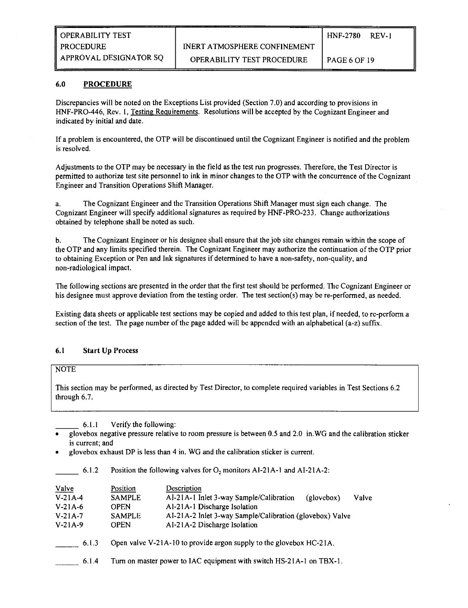## 6.0 PROCEDURE

Discrepancies will be noted on the Exceptions List provided (Section 7.0) and according to provisions in HNF-PRO-446, Rev. 1, Testing Requirements. Resolutions will be accepted by the Cognizant Engineer and indicated by initial and date.

If a problem is encountered, the OTP will be discontinued until the Cognizant Engineer is notified and the problem is resolved.

Adjustments to the OTP may be necessary in the field as the test run progresses. Therefore, the Test Director is permitted to authorize test site personnel to ink in minor changes to the OTP with the concurrence of the Cognizant Engineer and Transition Operations Shift Manager.

a. The Cognizant Engineer and the Transition Operations Shift Manager must sign each change. The Cognizant Engineer will specify additional signatures as required by HNF-PRO-233. Change authorizations obtained by telephone shall be noted as such.

b. The Cognizant Engineer or his designee shall ensure that the job site changes remain within the scope of the OTP and any limits specified therein. The Cognizant Engineer may authorize the continuation of the OTP prior to obtaining Exception or Pen and Ink signatures if determined to have a non-safety, non-quality, and non-radiological impact.

The following sections are presented in the order that the first test should be performed. The Cognizant Engineer or his designee must approve deviation from the testing order. The test section(s) may be re-performed, as needed.

Existing data sheets or applicable test sections may be copied and added to this test plan, if needed, to re-perform a section of the test. The page number of the page added will be appended with an alphabetical (a-z) suffix.

## 6.1 Start Up Process

## NOTE

This section may be performed, as directed by Test Director, to complete required variables in Test Sections 6.2 through 6.7.

6.1.1 Verify the following:

- glovebox negative pressure relative to room pressure is between 0.5 and 2.0 in.WG and the calibration sticker is current; and
- glovebox exhaust DP is less than 4 in. WG and the calibration sticker is current.

6.1.2 Position the following valves for  $O_2$  monitors AI-21A-1 and AI-21A-2:

| Valve     | Position      | Description                                                         |            |       |
|-----------|---------------|---------------------------------------------------------------------|------------|-------|
| $V-21A-4$ | <b>SAMPLE</b> | AI-21A-1 Inlet 3-way Sample/Calibration                             | (elovebox) | Valve |
| V.21A.6   | <b>OPEN</b>   | AI-21A-1 Discharge Isolation                                        |            |       |
| $V-21A-7$ | <b>SAMPLE</b> | AI-21A-2 Inlet 3-way Sample/Calibration (glovebox) Valve            |            |       |
| $V-21A-9$ | OPEN          | AI-21A-2 Discharge Isolation                                        |            |       |
| 6.1.3     |               | Open valve V-21A-10 to provide argon supply to the glovebox HC-21A. |            |       |

6.1.4 Tum on master power to IAC equipment with switch HS-21A-1 on TBX-1.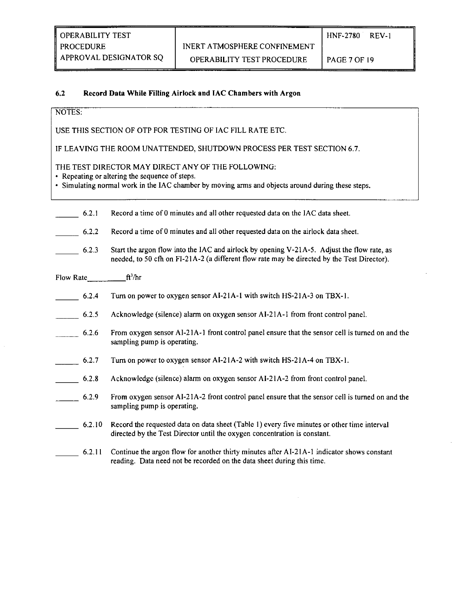APPROVAL DESIGNATOR SQ | OPERABILITY TEST PROCEDURE | PAGE 7 OF 19

## 6.2 Record Data While Filling Airlock and IAC Chambers with Argon

## NOTES:

USE THIS SECTION OF OTP FOR TESTING OF IAC FILL RATE ETC.

IF LEAVING THE ROOM UNATTENDED, SHUTDOWN PROCESS PER TEST SECTION 6.7.

## THE TEST DIRECTOR MAY DIRECT ANY OF THE FOLLOWING:

• Repeating or altering the sequence of steps.<br>• Simulating normal work in the IAC chamber by moving arms and objects around during these steps.

| 6.2.1     | Record a time of 0 minutes and all other requested data on the IAC data sheet.                                                                                                            |
|-----------|-------------------------------------------------------------------------------------------------------------------------------------------------------------------------------------------|
| 6.2.2     | Record a time of 0 minutes and all other requested data on the airlock data sheet.                                                                                                        |
| 6.2.3     | Start the argon flow into the IAC and airlock by opening V-21A-5. Adjust the flow rate, as<br>needed, to 50 cfh on FI-21A-2 (a different flow rate may be directed by the Test Director). |
| Flow Rate | ft <sup>3</sup> /hr                                                                                                                                                                       |
| 6.2.4     | Turn on power to oxygen sensor AI-21A-1 with switch HS-21A-3 on TBX-1.                                                                                                                    |
| 6.2.5     | Acknowledge (silence) alarm on oxygen sensor AI-21A-1 from front control panel.                                                                                                           |
| 6.2.6     | From oxygen sensor AI-21A-1 front control panel ensure that the sensor cell is turned on and the<br>sampling pump is operating.                                                           |
| 6.2.7     | Turn on power to oxygen sensor AI-21A-2 with switch HS-21A-4 on TBX-1.                                                                                                                    |
| 6.2.8     | Acknowledge (silence) alarm on oxygen sensor AI-21A-2 from front control panel.                                                                                                           |
| 6.2.9     | From oxygen sensor AI-21A-2 front control panel ensure that the sensor cell is turned on and the<br>sampling pump is operating.                                                           |
| 6.2.10    | Record the requested data on data sheet (Table 1) every five minutes or other time interval<br>directed by the Test Director until the oxygen concentration is constant.                  |
| 6.2.11    | Continue the argon flow for another thirty minutes after AI-21A-1 indicator shows constant<br>reading. Data need not be recorded on the data sheet during this time.                      |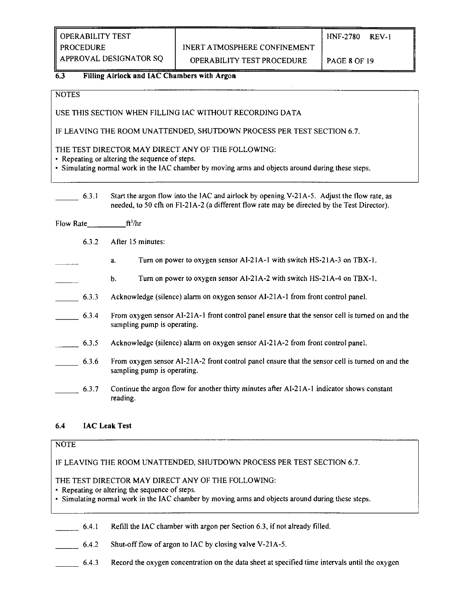OPERABILITY TEST  $H_{\text{HNF-2780}}$  REV-1

PROCEDURE INERT ATMOSPHERE CONFINEMENT

APPROVAL DESIGNATOR SQ | OPERABILITY TEST PROCEDURE | PAGE 8 OF 19

## **6.3** Filling Airlock and IAC Chambers with Argon

**NOTES** 

USE THIS SECTION WHEN FILLING IAC WITHOUT RECORDING DATA

IF LEAVING THE ROOM UNATTENDED, SHUTDOWN PROCESS PER TEST SECTION 6.7.

THE TEST DIRECTOR MAY DIRECT ANY OF THE FOLLOWING:<br>• Repeating or altering the sequence of steps.

• Simulating normal work in the IAC chamber by moving arms and objects around during these steps.

6.3.3 Start the argon flow into the IAC and airlock by opening V-21A-5. Adjust the flow rate, as

- Flow Rate  $ft<sup>3</sup>/hr$ 
	- $6.3.2$ After 15 minutes:
		- Turn on power to oxygen sensor AI-21A-1 with switch HS-21A-3 on TBX-1. a.
- $\frac{1}{2}$  a. Tum on power to oxygen sensor AI-21A-1 with switch HS-21A-3 on TBX-1. Turn on power to oxygen sensor AI-21A-2 with switch HS-21A-4 on TBX-1. b. b. Turn on power to oxygen sensor AI-21A-2 with switch HS-21A-4 on TBX-1.
- Acknowledge (silence) alarm on oxygen sensor AI-21A-1 from front control panel. 6.3.3 Acknowledge (silence) alarm on oxygen sensor A1-21A-1 from front control panel.
- $\frac{6.3.4}{\text{sampling pump}}$  is operating. From oxygen sensor AI-21A-1 front control panel ensure that the sensor cell is turned on and the
- $6.3.5$ Acknowledge (silence) alarm on oxygen sensor AI-21A-2 from front control panel.
- 6.3.6 From oxygen sensor AI-21A-2 front control panel ensure that the sensor cell is turned on and the  $\frac{1}{2}$  from  $\frac{1}{2}$  from  $\frac{1}{2}$  to be sensor control panel ensure that the sensor cell is turned on and the sensor cell is turned on and the sensor cell is turned on and the sensor cell is turned on and the sensor
- Continue the argon flow for another thirty minutes after AI-21A-1 indicator shows constant \_\_\_\_\_\_ 6.3.7 Continue the argon flow for another thirty minutes after AI-21A-1 indicator shows constant reading.

## **6.4** IAC Leak Test

## NOTE

IF LEAVING THE ROOM UNATTENDED, SHUTDOWN PROCESS PER TEST SECTION 6.7.

THE TEST DIRECTOR MAY DIRECT ANY OF THE FOLLOWING:

• Repeating or altering the sequence of steps.<br>• Simulating normal work in the IAC chamber by moving arms and objects around during these steps.

6.4.1 Refill the IAC chamber with argon per Section 6.3, if not already filled.

6.4.2 Shut-off flow of argon to IAC by closing valve V-21A-5.

6.4.3 Record the oxygen concentration on the data sheet at specified time intervals until the oxygen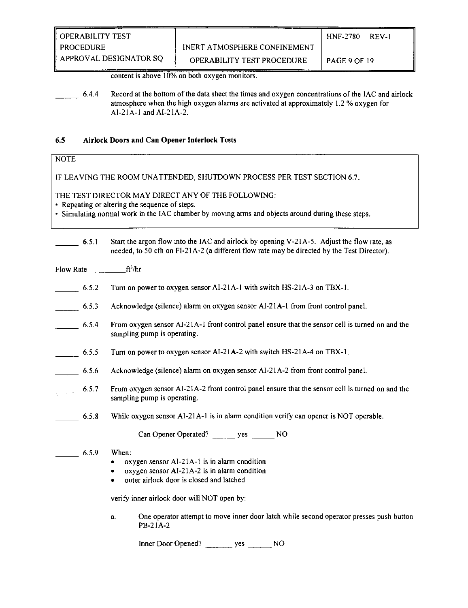content is above 10% on both oxygen monitors.

6.4.4 Record at the bottom of the data sheet the times and oxygen concentrations of the IAC and airlock atmosphere when the high oxygen alarms are activated at approximately 1.2 % oxygen for AI-21A-1 and AI-21A-2.

#### 6.5 Airlock Doors and Can Opener Interlock Tests

## NOTE

IF LEAVING THE ROOM UNATTENDED, SHUTDOWN PROCESS PER TEST SECTION 6.7.

THE TEST DIRECTOR MAY DIRECT ANY OF THE FOLLOWING:

• Repeating or altering the sequence of steps.<br>• Simulating normal work in the IAC chamber by moving arms and objects around during these steps.

6.5.1 Start the argon flow into the IAC and airlock by opening V-21A-5. Adjust the flow rate, as needed, to 50 cfh on FI-21A-2 (a different flow rate may be directed by the Test Director).

| Flow Rate $ft^3/hr$ |                                                                                                                                                                                                                                                                                                                              |
|---------------------|------------------------------------------------------------------------------------------------------------------------------------------------------------------------------------------------------------------------------------------------------------------------------------------------------------------------------|
| 6.5.2               | Turn on power to oxygen sensor AI-21A-1 with switch HS-21A-3 on TBX-1.                                                                                                                                                                                                                                                       |
| 6.5.3               | Acknowledge (silence) alarm on oxygen sensor AI-21A-1 from front control panel.                                                                                                                                                                                                                                              |
| 6.5.4               | From oxygen sensor AI-21A-1 front control panel ensure that the sensor cell is turned on and the<br>sampling pump is operating.                                                                                                                                                                                              |
| $\frac{6.5.5}{2}$   | Turn on power to oxygen sensor AI-21A-2 with switch HS-21A-4 on TBX-1.                                                                                                                                                                                                                                                       |
| 6.5.6               | Acknowledge (silence) alarm on oxygen sensor AI-21A-2 from front control panel.                                                                                                                                                                                                                                              |
| $\frac{6.5.7}{2}$   | From oxygen sensor AI-21A-2 front control panel ensure that the sensor cell is turned on and the<br>sampling pump is operating.                                                                                                                                                                                              |
| 6.5.8               | While oxygen sensor AI-21A-1 is in alarm condition verify can opener is NOT operable.                                                                                                                                                                                                                                        |
|                     | Can Opener Operated? yes NO                                                                                                                                                                                                                                                                                                  |
| 6.5.9               | When:<br>oxygen sensor Al-21A-1 is in alarm condition<br>٠<br>oxygen sensor AI-21A-2 is in alarm condition<br>٠<br>outer airlock door is closed and latched<br>٠<br>verify inner airlock door will NOT open by:<br>One operator attempt to move inner door latch while second operator presses push button<br>a.<br>PB-21A-2 |
|                     |                                                                                                                                                                                                                                                                                                                              |

Inner Door Opened? \_\_\_\_\_\_\_\_\_ yes \_\_\_\_\_\_\_ NO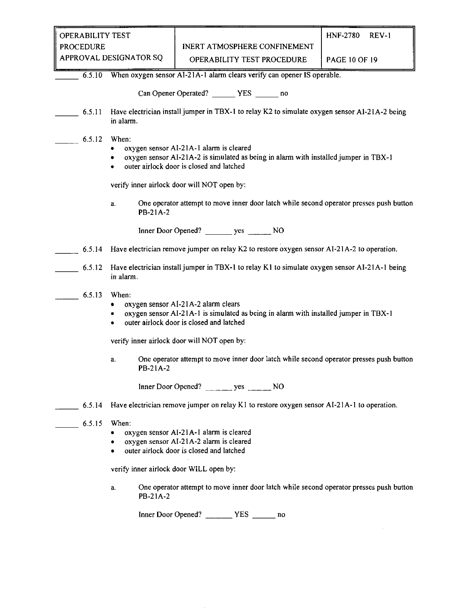| OPERABILITY TEST       |                                                        | <b>HNF-2780</b>      | REV-1 |
|------------------------|--------------------------------------------------------|----------------------|-------|
| <b>PROCEDURE</b>       | INERT ATMOSPHERE CONFINEMENT                           |                      |       |
| APPROVAL DESIGNATOR SQ | $\bigcap$ of a bill it viewer procedipert of $\bigcap$ | <b>PAGE 10 OF 10</b> |       |

| <b>PAGE 10 OF 19</b> |  |  |
|----------------------|--|--|
|                      |  |  |

6.5.10 When oxygen sensor AI-21A-1 alarm clears verify can opener IS operable.

| Can Opener Operated? | YES | no |
|----------------------|-----|----|
|----------------------|-----|----|

- 6.5.11 Have electrician install jumper in TBX-1 to relay K2 to simulate oxygen sensor AI-21 A-2 being in alarm.
- 6.5.12 When:
	- oxygen sensor AI-21A-1 alarm is cleared
	- oxygen sensor AI-21A-2 is simulated as being in alarm with installed jumper in TBX-1
	- outer airlock door is closed and latched

verify inner airlock door will NOT open by:

a. One operator attempt to move inner door latch while second operator presses push button PB-21A-2

Inner Door Opened? yes NO

- 6.5.14 Have electrician remove jumper on relay K2 to restore oxygen sensor AI-21 A-2 to operation.
- 6.5.12 Have electrician install jumper in TBX-1 to relay K l to simulate oxygen sensor AI-21A-1 being in alarm.
- 6.5.13 When:
	- oxygen sensor AI-21 A-2 alarm clears
	- oxygen sensor AI-21A-1 is simulated as being in alarm with installed jumper in TBX-1
	- outer airlock door is closed and latched

verify inner airlock door will NOT open by:

a. One operator attempt to move inner door latch while second operator presses push button PB-21A-2

Inner Door Opened? \_\_\_\_\_\_ yes NO

- 6.5.14 Have electrician remove jumper on relay K l to restore oxygen sensor AI-21A-1 to operation.
- 6.5.15 When:
	- oxygen sensor Al-21A-1 alarm is cleared
	- oxygen sensor AI-21 A-2 alarm is cleared
	- outer airlock door is closed and latched

verify inner airlock door WILL open by:

a. One operator attempt to move inner door latch while second operator presses push button PB-21A-2

Inner Door Opened? YES no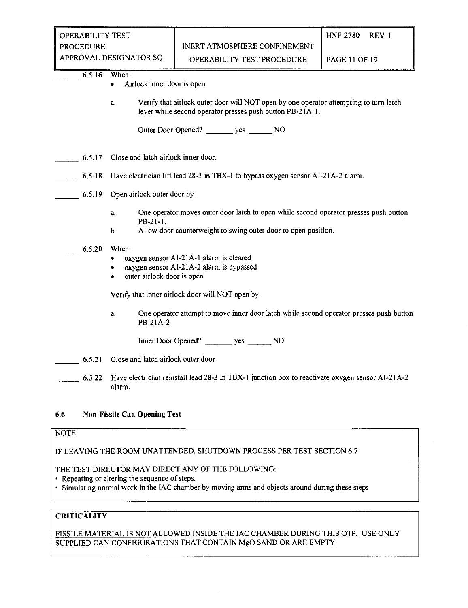| <b>OPERABILITY TEST</b> |                              | 1 HNF-2780    | $RFV-1$ |
|-------------------------|------------------------------|---------------|---------|
| <b>PROCEDURE</b>        | INERT ATMOSPHERE CONFINEMENT |               |         |
| APPROVAL DESIGNATOR SO  | OPERARILITY TEST PROCEDURE   | PAGE 11 OF 19 |         |

OR SQ CPERABILITY TEST PROCEDURE PAGE 11 OF 19

6.5.16 When:

- Airlock inner door is open
- a. Verify that airlock outer door will NOT open by one operator attempting to turn latch lever while second operator presses push button PB-21A-1.

Outer Door Opened? yes NO

- 6.5.17 Close and latch airlock inner door.
- 6.5.18 Have electrician lift lead 28-3 in TBX-1 to bypass oxygen sensor AI-21 A-2 alarm.

## 6.5.19 Open airlock outer door by:

- a. One operator moves outer door latch to open while second operator presses push button PB-21-1.
- b. Allow door counterweight to swing outer door to open position.

#### 6.5.20 When:

- oxygen sensor AI-21A-1 alarm is cleared
- oxygen sensor AI-21 A-2 alarm is bypassed
- outer airlock door is open

Verify that inner airlock door will NOT open by:

a. One operator attempt to move inner door latch while second operator presses push button PB-21A-2

Inner Door Opened? \_\_\_\_\_\_ yes \_\_\_ \_ NO

- 6.5.21 Close and latch airlock outer door.
	- 6.5.22 Have electrician reinstall lead 28-3 in TBX-1 junction box to reactivate oxygen sensor AI-21 A-2 alarm.

## 6.6 Non-Fissile Can Opening Test

## NOTE

IF LEAVING THE ROOM UNATTENDED, SHUTDOWN PROCESS PER TEST SECTION 6.7

#### THE TEST DIRECTOR MAY DIRECT ANY OF THE FOLLOWING:

- " Repeating or altering the sequence of steps.
- Simulating normal work in the IAC chamber by moving arms and objects around during these steps

## **CRITICALITY**

FISSILE MATERIAL IS NOT ALLOWED INSIDE THE IAC CHAMBER DURING THIS OTP. USE ONLY SUPPLIED CAN CONFIGURATIONS THAT CONTAIN MgO SAND OR ARE EMPTY.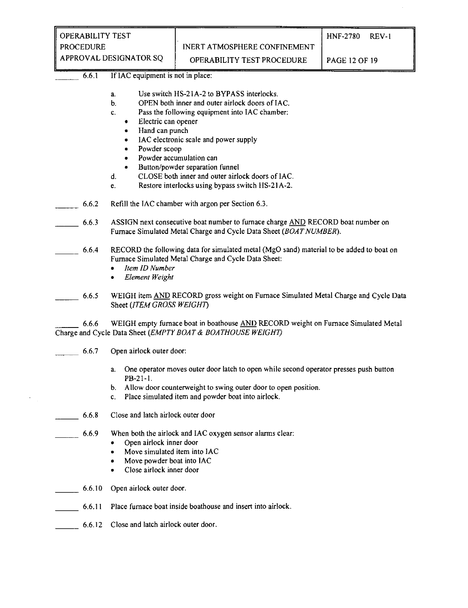| <b>OPERABILITY TEST</b> |                                            | 1 HNF-2780                 | REV-1 |
|-------------------------|--------------------------------------------|----------------------------|-------|
| PROCEDURE               | INERT ATMOSPHERE CONFINEMENT               |                            |       |
| APPROVAL DESIGNATOR SO  | $\cap$ DED A DII ITV TECT DD $\cap$ CENIDE | $DACE$ 12 $\triangle E$ 10 |       |

 $\text{OR }$  SQ  $\quad$  OPERABILITY TEST PROCEDURE PAGE 12 OF 19

#### 6.6.1 If IAC equipment is not in place:

- a. Use switch HS-21A-2 to BYPASS interlocks.
- b. OPEN both inner and outer airlock doors of IAC.
- c. Pass the following equipment into IAC chamber;
	- Electric can opener
	- Hand can punch
	- IAC electronic scale and power supply
	- Powder scoop
	- Powder accumulation can
	- Button/powder separation funnel
- d. CLOSE both inner and outer airlock doors of IAC.
- e. Restore interlocks using bypass switch HS-21 A-2.
- 6.6.2 Refill the IAC chamber with argon per Section 6.3.
	- 6.6.3 ASSIGN next consecutive boat number to furnace charge AND RECORD boat number on Furnace Simulated Metal Charge and Cycle Data Sheet *{BOATNUMBER).* 
		- 6.6.4 RECORD the following data for simulated metal (MgO sand) material to be added to boat on Furnace Simulated Metal Charge and Cycle Data Sheet:
			- *Item ID Number*
			- *Element Weight*
- 6.6.5 WEIGH item AND RECORD gross weight on Furnace Simulated Metal Charge and Cycle Data Sheet *(ITEM GROSS WEIGHT)*

6.6.6 WEIGH empty furnace boat in boathouse AND RECORD weight on Furnace Simulated Metal Charge and Cycle Data Sheet *(EMPTY BOAT & BOATHOUSE WEIGHT)* 

- 6.6.7 Open airlock outer door:
	- a. One operator moves outer door latch to open while second operator presses push button PB-21-1.
	- b. Allow door counterweight to swing outer door to open position.
	- c. Place simulated item and powder boat into airlock.
- 6.6.8 Close and latch airlock outer door
	- 6.6.9 When both the airlock and IAC oxygen sensor alarms clear:
		- Open airlock inner door
		- Move simulated item into IAC
		- Move powder boat into IAC
		- Close airlock inner door
- 6.6.10 Open airlock outer door.
- 6.6.11 Place furnace boat inside boathouse and insert into airlock.
- 6.6.12 Close and latch airlock outer door.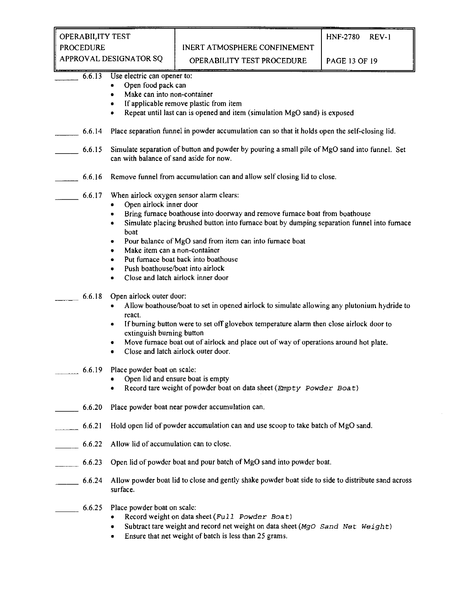| OPERABILITY TEST  |
|-------------------|
| <b>PROCEDURE</b>  |
| ADDOMIAI DECICNIA |

| APPROVAL DESIGNATOR SQ |                                                                                                                                                                                                                                                                                                                                                                                                                                                                                                                             | OPERABILITY TEST PROCEDURE                                                                                                                                                                 | <b>PAGE 13 OF 19</b> |  |  |  |  |  |
|------------------------|-----------------------------------------------------------------------------------------------------------------------------------------------------------------------------------------------------------------------------------------------------------------------------------------------------------------------------------------------------------------------------------------------------------------------------------------------------------------------------------------------------------------------------|--------------------------------------------------------------------------------------------------------------------------------------------------------------------------------------------|----------------------|--|--|--|--|--|
| 6.6.13                 | Use electric can opener to:<br>Open food pack can<br>۰<br>Make can into non-container<br>۰<br>If applicable remove plastic from item<br>٠<br>Repeat until last can is opened and item (simulation MgO sand) is exposed<br>٠                                                                                                                                                                                                                                                                                                 |                                                                                                                                                                                            |                      |  |  |  |  |  |
| 6.6.14                 |                                                                                                                                                                                                                                                                                                                                                                                                                                                                                                                             | Place separation funnel in powder accumulation can so that it holds open the self-closing lid.                                                                                             |                      |  |  |  |  |  |
| 6.6.15                 |                                                                                                                                                                                                                                                                                                                                                                                                                                                                                                                             | Simulate separation of button and powder by pouring a small pile of MgO sand into funnel. Set<br>can with balance of sand aside for now.                                                   |                      |  |  |  |  |  |
| 6.6.16                 |                                                                                                                                                                                                                                                                                                                                                                                                                                                                                                                             | Remove funnel from accumulation can and allow self closing lid to close.                                                                                                                   |                      |  |  |  |  |  |
| 6.6.17                 | When airlock oxygen sensor alarm clears:<br>Open airlock inner door<br>Bring furnace boathouse into doorway and remove furnace boat from boathouse<br>$\bullet$<br>Simulate placing brushed button into furnace boat by dumping separation funnel into furnace<br>$\bullet$<br>boat<br>Pour balance of MgO sand from item can into furnace boat<br>٠<br>Make item can a non-container<br>٠<br>Put furnace boat back into boathouse<br>٠<br>Push boathouse/boat into airlock<br>٠<br>Close and latch airlock inner door<br>٠ |                                                                                                                                                                                            |                      |  |  |  |  |  |
| 6.6.18                 | Open airlock outer door:<br>Allow boathouse/boat to set in opened airlock to simulate allowing any plutonium hydride to<br>react.<br>If burning button were to set off glovebox temperature alarm then close airlock door to<br>٠<br>extinguish burning button<br>Move furnace boat out of airlock and place out of way of operations around hot plate.<br>٠<br>Close and latch airlock outer door.<br>٠                                                                                                                    |                                                                                                                                                                                            |                      |  |  |  |  |  |
| 6.6.19                 | Place powder boat on scale:<br>٠                                                                                                                                                                                                                                                                                                                                                                                                                                                                                            | Open lid and ensure boat is empty<br>Record tare weight of powder boat on data sheet (Empty Powder Boat)                                                                                   |                      |  |  |  |  |  |
| 6,6.20                 |                                                                                                                                                                                                                                                                                                                                                                                                                                                                                                                             | Place powder boat near powder accumulation can.                                                                                                                                            |                      |  |  |  |  |  |
| 6.6.21                 |                                                                                                                                                                                                                                                                                                                                                                                                                                                                                                                             | Hold open lid of powder accumulation can and use scoop to take batch of MgO sand.                                                                                                          |                      |  |  |  |  |  |
| 6.6.22                 | Allow lid of accumulation can to close.                                                                                                                                                                                                                                                                                                                                                                                                                                                                                     |                                                                                                                                                                                            |                      |  |  |  |  |  |
| 6.6.23                 |                                                                                                                                                                                                                                                                                                                                                                                                                                                                                                                             | Open lid of powder boat and pour batch of MgO sand into powder boat.                                                                                                                       |                      |  |  |  |  |  |
| 6.6.24                 | surface.                                                                                                                                                                                                                                                                                                                                                                                                                                                                                                                    | Allow powder boat lid to close and gently shake powder boat side to side to distribute sand across                                                                                         |                      |  |  |  |  |  |
| 6.6.25                 | Place powder boat on scale:<br>٠<br>٠                                                                                                                                                                                                                                                                                                                                                                                                                                                                                       | Record weight on data sheet (Full Powder Boat)<br>Subtract tare weight and record net weight on data sheet (MqO Sand Net Weight)<br>Ensure that net weight of batch is less than 25 grams. |                      |  |  |  |  |  |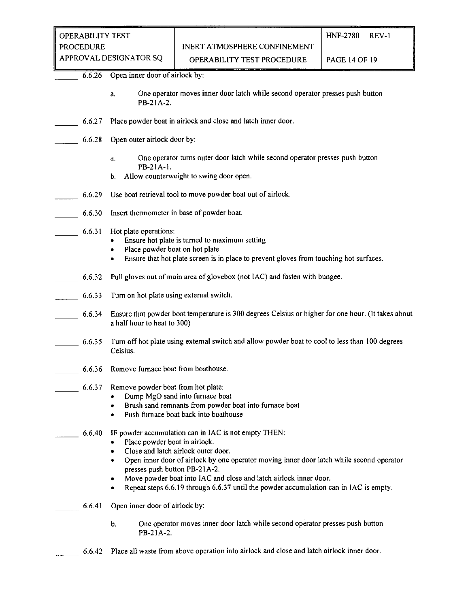6.6.26 Open inner door of airlock by:

- a. One operator moves inner door latch while second operator presses push button PB-21A-2.
- 6.6.27 Place powder boat in airlock and close and latch inner door.
- 6.6.28 Open outer airlock door by:
	- a. One operator turns outer door latch while second operator presses push button PB-21A-1.
	- b. Allow counterweight to swing door open.
- 6.6.29 Use boat retrieval tool to move powder boat out of airlock.
- 6.6.30 Insert thermometer in base of powder boat.
- 6.6.31 Hot plate operations:
	- Ensure hot plate is turned to maximum setting
	- Place powder boat on hot plate<br>• Ensure that hot plate screen is i
	- Ensure that hot plate screen is in place to prevent gloves from touching hot surfaces.
- 6.6.32 Pull gloves out of main area of glovebox (not IAC) and fasten with bungee.
- 6.6.33 Turn on hot plate using external switch.
	- 6.6.34 Ensure that powder boat temperature is 300 degrees Celsius or higher for one hour. (It takes about a half hour to heat to 300)
- 6.6.35 Tum off hot plate using external switch and allow powder boat to cool to less than 100 degrees Celsius.
- 6.6.36 Remove furnace boat from boathouse.
	- 6.6.37 Remove powder boat from hot plate:
		- Dump MgO sand into furnace boat
		- Brush sand remnants from powder boat into furnace boat
		- Push furnace boat back into boathouse
		- 6.6.40 IF powder accumulation can in IAC is not empty THEN:
			- Place powder boat in airlock.
			- Close and latch airlock outer door.
			- Open inner door of airlock by one operator moving inner door latch while second operator presses push button PB-21A-2.
			- Move powder boat into IAC and close and latch airlock inner door.
			- Repeat steps 6.6.19 through 6.6.37 until the powder accumulation can in IAC is empty.
- 6.6.41 Open inner door of airlock by:
	- b. One operator moves inner door latch while second operator presses push button PB-21 A-2.
- 6.6.42 Place all waste from above operation into airlock and close and latch airlock inner door.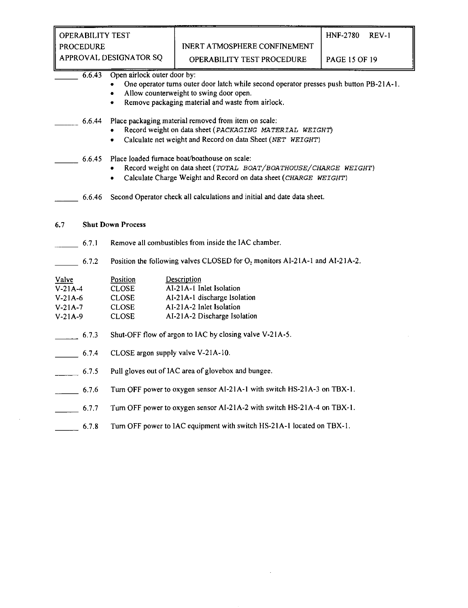| <b>OPERABILITY TEST</b> |                                                                         |                                                                                                                                                                                         | <b>HNF-2780</b><br><b>REV-1</b> |  |  |
|-------------------------|-------------------------------------------------------------------------|-----------------------------------------------------------------------------------------------------------------------------------------------------------------------------------------|---------------------------------|--|--|
| <b>PROCEDURE</b>        |                                                                         | INERT ATMOSPHERE CONFINEMENT                                                                                                                                                            |                                 |  |  |
| APPROVAL DESIGNATOR SQ  |                                                                         | OPERABILITY TEST PROCEDURE                                                                                                                                                              | <b>PAGE 15 OF 19</b>            |  |  |
| 6.6.43                  | Open airlock outer door by:<br>٠                                        | One operator turns outer door latch while second operator presses push button PB-21A-1.<br>Allow counterweight to swing door open.<br>Remove packaging material and waste from airlock. |                                 |  |  |
| 6.6.44                  | ٠                                                                       | Place packaging material removed from item on scale:<br>Record weight on data sheet (PACKAGING MATERIAL WEIGHT)<br>Calculate net weight and Record on data Sheet (NET WEIGHT)           |                                 |  |  |
| 6.6.45                  | $\bullet$                                                               | Place loaded furnace boat/boathouse on scale:<br>Record weight on data sheet (TOTAL BOAT/BOATHOUSE/CHARGE WEIGHT)<br>Calculate Charge Weight and Record on data sheet (CHARGE WEIGHT)   |                                 |  |  |
| 6.6.46                  |                                                                         | Second Operator check all calculations and initial and date data sheet.                                                                                                                 |                                 |  |  |
| 6.7                     | <b>Shut Down Process</b>                                                |                                                                                                                                                                                         |                                 |  |  |
| 6.7.1                   |                                                                         | Remove all combustibles from inside the IAC chamber.                                                                                                                                    |                                 |  |  |
| 6.7.2                   |                                                                         | Position the following valves CLOSED for O <sub>2</sub> monitors Al-21A-1 and Al-21A-2.                                                                                                 |                                 |  |  |
| Valve                   | Position                                                                | Description                                                                                                                                                                             |                                 |  |  |
| $V-21A-4$               | <b>CLOSE</b>                                                            | AI-21A-1 Inlet Isolation                                                                                                                                                                |                                 |  |  |
| $V-21A-6$               | <b>CLOSE</b>                                                            | AI-21A-1 discharge Isolation                                                                                                                                                            |                                 |  |  |
| $V-21A-7$               | <b>CLOSE</b>                                                            | AI-21A-2 Inlet Isolation                                                                                                                                                                |                                 |  |  |
| $V-21A-9$               | <b>CLOSE</b>                                                            | AI-21A-2 Discharge Isolation                                                                                                                                                            |                                 |  |  |
| 6.7.3                   |                                                                         | Shut-OFF flow of argon to IAC by closing valve V-21A-5.                                                                                                                                 |                                 |  |  |
| 6.7.4                   | CLOSE argon supply valve V-21A-10.                                      |                                                                                                                                                                                         |                                 |  |  |
| 6.7.5                   | Pull gloves out of IAC area of glovebox and bungee.                     |                                                                                                                                                                                         |                                 |  |  |
| 6.7.6                   | Turn OFF power to oxygen sensor AI-21A-1 with switch HS-21A-3 on TBX-1. |                                                                                                                                                                                         |                                 |  |  |
| 6.7.7                   |                                                                         | Turn OFF power to oxygen sensor AI-21A-2 with switch HS-21A-4 on TBX-1.                                                                                                                 |                                 |  |  |
|                         |                                                                         | Turn OFF power to IAC equipment with switch HS-21A-1 located on TBX-1.                                                                                                                  |                                 |  |  |
| 6.7.8                   |                                                                         |                                                                                                                                                                                         |                                 |  |  |

 $\mathcal{L}^{\text{max}}_{\text{max}}$  and  $\mathcal{L}^{\text{max}}_{\text{max}}$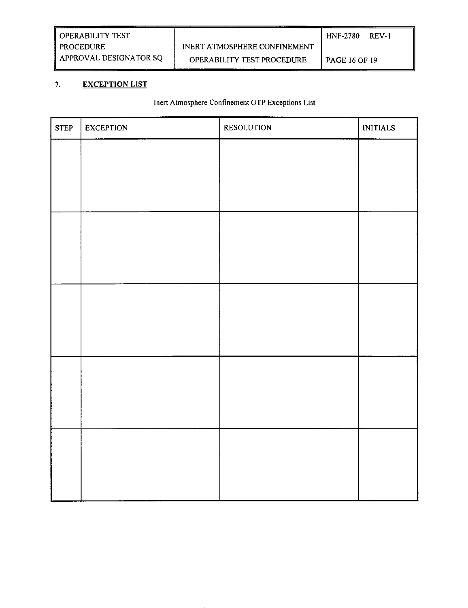## **7. EXCEPTION LIST**

## **Inert Atmosphere Confinement OTP Exceptions List**

| <b>STEP</b> | <b>EXCEPTION</b> | RESOLUTION | <b>INITIALS</b> |
|-------------|------------------|------------|-----------------|
|             |                  |            |                 |
|             |                  |            |                 |
|             |                  |            |                 |
|             |                  |            |                 |
|             |                  |            |                 |
|             |                  |            |                 |
|             |                  | $\sim$     |                 |
|             |                  |            |                 |
|             |                  |            |                 |
|             |                  |            |                 |
|             |                  |            |                 |
|             |                  |            |                 |
|             |                  |            |                 |
|             |                  |            |                 |
|             |                  |            |                 |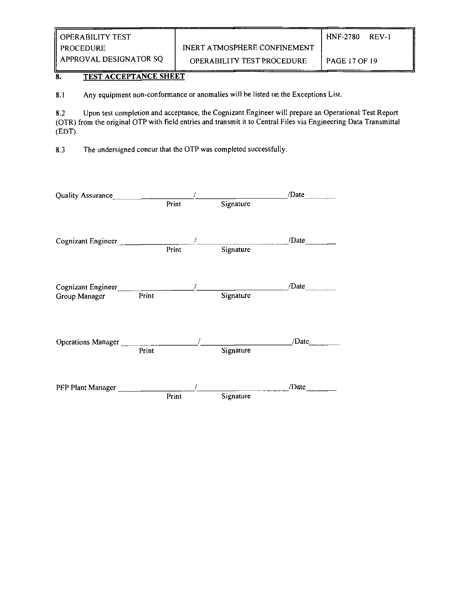| II OPERABILITY TEST    |                                     | <b>HNF-2780</b><br>REV-1 |
|------------------------|-------------------------------------|--------------------------|
| PROCEDURE              | <b>INERT ATMOSPHERE CONFINEMENT</b> |                          |
| APPROVAL DESIGNATOR SQ | <b>OPERABILITY TEST PROCEDURE</b>   | <b>PAGE 17 OF 19</b>     |

## 8. TEST ACCEPTANCE SHEET

8.1 Any equipment non-conformance or anomalies will be listed on the Exceptions List.

8.2 Upon test completion and acceptance, the Cognizant Engineer will prepare an Operational Test Report (OTR) from the original OTP with field entries and transmit it to Central Files via Engineering Data Transmittal (EDT).

8.3 The undersigned concur that the OTP was completed successfully.

| Quality Assurance                                                                                                                                                                                                              |       |       |                                         | /Date |
|--------------------------------------------------------------------------------------------------------------------------------------------------------------------------------------------------------------------------------|-------|-------|-----------------------------------------|-------|
|                                                                                                                                                                                                                                |       | Print | Signature                               |       |
| Cognizant Engineer                                                                                                                                                                                                             |       | Print | / <u>________</u> ________<br>Signature | /Date |
| Cognizant Engineer and the company of the contract of the contract of the contract of the contract of the contract of the contract of the contract of the contract of the contract of the contract of the contract of the cont |       |       |                                         | /Date |
| Group Manager                                                                                                                                                                                                                  | Print |       | Signature                               |       |
| Operations Manager ______                                                                                                                                                                                                      | Print |       | Signature                               | /Date |
| PFP Plant Manager                                                                                                                                                                                                              |       | Print | Signature                               | /Date |
|                                                                                                                                                                                                                                |       |       |                                         |       |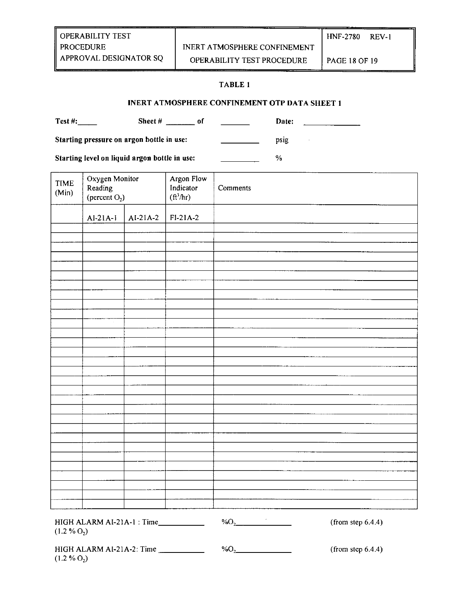#### TABLE **1**

## INERT ATMOSPHERE CONFINEMENT OTP DATA SHEET **1**

Test #: Sheet # of Date: Starting pressure on argon bottle in use: psig psig

Starting level on liquid argon bottle in use: \_\_\_\_\_\_\_\_\_\_\_\_\_\_\_\_ %

| <b>TIME</b><br>(Min)    | Oxygen Monitor<br>Reading<br>(percent $O_2$ ) |            | Argon Flow<br>Indicator<br>$({\rm ft}^3/\rm hr)$ | Comments                          |
|-------------------------|-----------------------------------------------|------------|--------------------------------------------------|-----------------------------------|
|                         | $AI-21A-1$                                    | $AI-21A-2$ | $FI-21A-2$                                       |                                   |
|                         |                                               |            |                                                  |                                   |
|                         |                                               |            |                                                  |                                   |
|                         |                                               |            |                                                  |                                   |
|                         |                                               |            |                                                  |                                   |
|                         |                                               |            |                                                  |                                   |
|                         |                                               |            |                                                  |                                   |
|                         |                                               |            |                                                  |                                   |
|                         |                                               |            |                                                  |                                   |
|                         |                                               |            |                                                  |                                   |
|                         |                                               |            |                                                  |                                   |
|                         |                                               |            |                                                  |                                   |
|                         |                                               |            |                                                  |                                   |
|                         |                                               |            |                                                  |                                   |
|                         |                                               |            |                                                  |                                   |
|                         |                                               |            |                                                  |                                   |
|                         |                                               |            |                                                  |                                   |
|                         |                                               |            |                                                  |                                   |
|                         |                                               |            |                                                  |                                   |
|                         |                                               |            |                                                  |                                   |
|                         |                                               |            |                                                  |                                   |
|                         |                                               |            |                                                  |                                   |
|                         |                                               |            |                                                  |                                   |
|                         |                                               |            |                                                  |                                   |
|                         |                                               |            |                                                  |                                   |
|                         |                                               |            |                                                  |                                   |
|                         |                                               |            |                                                  |                                   |
|                         |                                               |            |                                                  |                                   |
|                         |                                               |            |                                                  |                                   |
| (1.2 % O <sub>2</sub> ) | HIGH ALARM AI-21A-1 : Time___________         |            |                                                  | $\%O_2$<br>(from step $6.4.4$ )   |
| (1.2.2)                 | HIGH ALARM AI-21A-2: Time                     |            |                                                  | $\%O_{2}$<br>(from step $6.4.4$ ) |

 $(1.2 % O<sub>2</sub>)$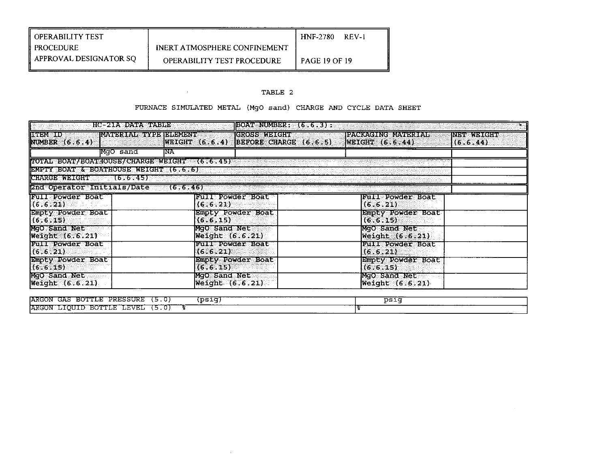| <b>OPERABILITY TEST</b> |                                     | <b>HNF-2780</b><br>$RFV-1$ |
|-------------------------|-------------------------------------|----------------------------|
| PROCEDURE               | <b>INERT ATMOSPHERE CONFINEMENT</b> |                            |
| APPROVAL DESIGNATOR SO  | <b>OPERABILITY TEST PROCEDURE</b>   | 1 PAGE 19 OF 19            |

the control of the control of

## **TABLE 2**

## **FURNACE SIMULATED METAL (MgO sand) CHARGE AND CYCLE DATA SHEET**

| BOAT NUMBER: (6.6.3):          |  |  |  |  |  |
|--------------------------------|--|--|--|--|--|
| <b>INDVERTIERE</b><br>(6.6.44) |  |  |  |  |  |
|                                |  |  |  |  |  |
|                                |  |  |  |  |  |
|                                |  |  |  |  |  |
|                                |  |  |  |  |  |
|                                |  |  |  |  |  |
|                                |  |  |  |  |  |
|                                |  |  |  |  |  |
|                                |  |  |  |  |  |
|                                |  |  |  |  |  |
|                                |  |  |  |  |  |
|                                |  |  |  |  |  |
|                                |  |  |  |  |  |